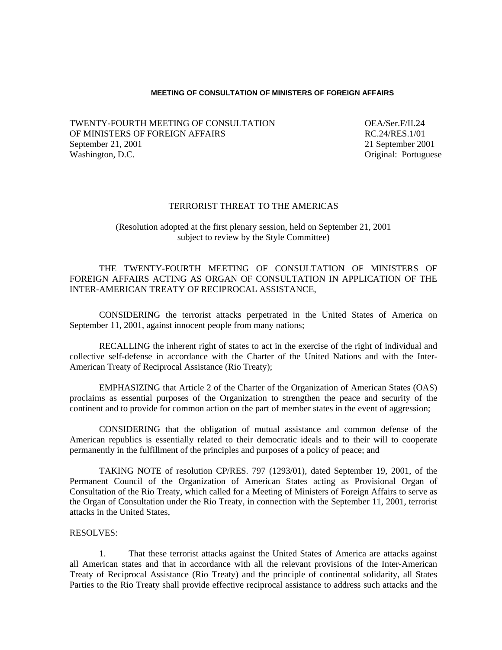## **MEETING OF CONSULTATION OF MINISTERS OF FOREIGN AFFAIRS**

TWENTY-FOURTH MEETING OF CONSULTATION OEA/Ser.F/II.24 OF MINISTERS OF FOREIGN AFFAIRS RESERVING RESERVING RESERVING RESERVING RESERVING RESERVING RESERVING RESERVING September 21, 2001 21 September 2001 Washington, D.C. **Original: Portuguese Original: Portuguese Original: Portuguese** 

## TERRORIST THREAT TO THE AMERICAS

## (Resolution adopted at the first plenary session, held on September 21, 2001 subject to review by the Style Committee)

THE TWENTY-FOURTH MEETING OF CONSULTATION OF MINISTERS OF FOREIGN AFFAIRS ACTING AS ORGAN OF CONSULTATION IN APPLICATION OF THE INTER-AMERICAN TREATY OF RECIPROCAL ASSISTANCE,

CONSIDERING the terrorist attacks perpetrated in the United States of America on September 11, 2001, against innocent people from many nations;

RECALLING the inherent right of states to act in the exercise of the right of individual and collective self-defense in accordance with the Charter of the United Nations and with the Inter-American Treaty of Reciprocal Assistance (Rio Treaty);

EMPHASIZING that Article 2 of the Charter of the Organization of American States (OAS) proclaims as essential purposes of the Organization to strengthen the peace and security of the continent and to provide for common action on the part of member states in the event of aggression;

 CONSIDERING that the obligation of mutual assistance and common defense of the American republics is essentially related to their democratic ideals and to their will to cooperate permanently in the fulfillment of the principles and purposes of a policy of peace; and

TAKING NOTE of resolution CP/RES. 797 (1293/01), dated September 19, 2001, of the Permanent Council of the Organization of American States acting as Provisional Organ of Consultation of the Rio Treaty, which called for a Meeting of Ministers of Foreign Affairs to serve as the Organ of Consultation under the Rio Treaty, in connection with the September 11, 2001, terrorist attacks in the United States,

## RESOLVES:

1. That these terrorist attacks against the United States of America are attacks against all American states and that in accordance with all the relevant provisions of the Inter-American Treaty of Reciprocal Assistance (Rio Treaty) and the principle of continental solidarity, all States Parties to the Rio Treaty shall provide effective reciprocal assistance to address such attacks and the